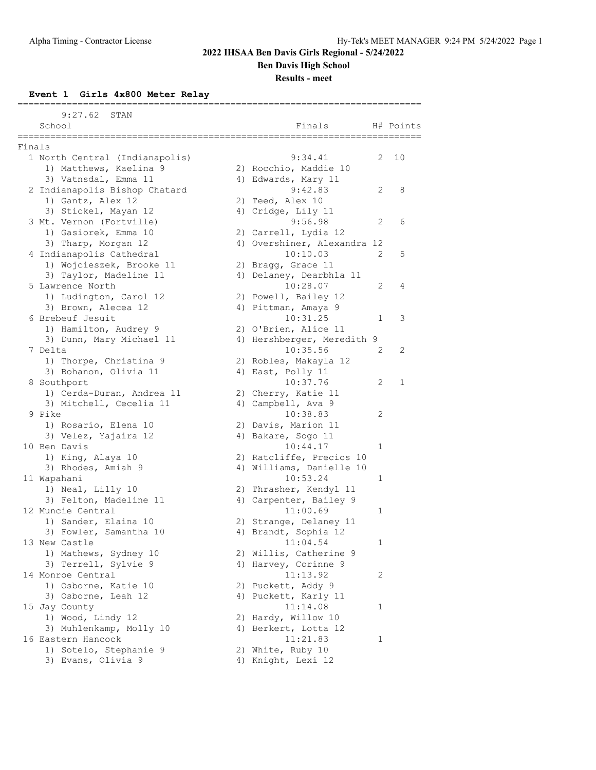**Ben Davis High School**

**Results - meet**

**Event 1 Girls 4x800 Meter Relay**

|        | 9:27.62<br>STAN                |                             |   |           |
|--------|--------------------------------|-----------------------------|---|-----------|
|        | School                         | Finals                      |   | H# Points |
|        |                                |                             |   |           |
| Finals |                                |                             |   |           |
|        | 1 North Central (Indianapolis) | 9:34.41                     | 2 | 10        |
|        | 1) Matthews, Kaelina 9         | 2) Rocchio, Maddie 10       |   |           |
|        | 3) Vatnsdal, Emma 11           | 4) Edwards, Mary 11         |   |           |
|        | 2 Indianapolis Bishop Chatard  | 9:42.83                     | 2 | 8         |
|        | 1) Gantz, Alex 12              | 2) Teed, Alex 10            |   |           |
|        | 3) Stickel, Mayan 12           | 4) Cridge, Lily 11          |   |           |
|        | 3 Mt. Vernon (Fortville)       | 9:56.98                     | 2 | 6         |
|        | 1) Gasiorek, Emma 10           | 2) Carrell, Lydia 12        |   |           |
|        | 3) Tharp, Morgan 12            | 4) Overshiner, Alexandra 12 |   |           |
|        | 4 Indianapolis Cathedral       | 10:10.03                    | 2 | 5         |
|        | 1) Wojcieszek, Brooke 11       | 2) Bragg, Grace 11          |   |           |
|        | 3) Taylor, Madeline 11         | 4) Delaney, Dearbhla 11     |   |           |
|        | 5 Lawrence North               | 10:28.07                    | 2 | 4         |
|        | 1) Ludington, Carol 12         | 2) Powell, Bailey 12        |   |           |
|        | 3) Brown, Alecea 12            | 4) Pittman, Amaya 9         |   |           |
|        | 6 Brebeuf Jesuit               | 10:31.25                    | 1 | 3         |
|        | 1) Hamilton, Audrey 9          | 2) O'Brien, Alice 11        |   |           |
|        | 3) Dunn, Mary Michael 11       | 4) Hershberger, Meredith 9  |   |           |
|        | 7 Delta                        | 10:35.56                    | 2 | 2         |
|        | 1) Thorpe, Christina 9         | 2) Robles, Makayla 12       |   |           |
|        | 3) Bohanon, Olivia 11          | 4) East, Polly 11           |   |           |
|        | 8 Southport                    | 10:37.76                    | 2 | 1         |
|        | 1) Cerda-Duran, Andrea 11      | 2) Cherry, Katie 11         |   |           |
|        | 3) Mitchell, Cecelia 11        | 4) Campbell, Ava 9          |   |           |
|        | 9 Pike                         | 10:38.83                    | 2 |           |
|        | 1) Rosario, Elena 10           | 2) Davis, Marion 11         |   |           |
|        | 3) Velez, Yajaira 12           | 4) Bakare, Sogo 11          |   |           |
|        | 10 Ben Davis                   | 10:44.17                    | 1 |           |
|        | 1) King, Alaya 10              | 2) Ratcliffe, Precios 10    |   |           |
|        | 3) Rhodes, Amiah 9             | 4) Williams, Danielle 10    |   |           |
|        | 11 Wapahani                    | 10:53.24                    | 1 |           |
|        | 1) Neal, Lilly 10              | 2) Thrasher, Kendyl 11      |   |           |
|        | 3) Felton, Madeline 11         | 4) Carpenter, Bailey 9      |   |           |
|        | 12 Muncie Central              | 11:00.69                    | 1 |           |
|        | 1) Sander, Elaina 10           | 2) Strange, Delaney 11      |   |           |
|        | 3) Fowler, Samantha 10         | 4) Brandt, Sophia 12        |   |           |
|        | 13 New Castle                  | 11:04.54                    | 1 |           |
|        | 1) Mathews, Sydney 10          | 2) Willis, Catherine 9      |   |           |
|        | 3) Terrell, Sylvie 9           | 4) Harvey, Corinne 9        |   |           |
|        | 14 Monroe Central              | 11:13.92                    | 2 |           |
|        | 1) Osborne, Katie 10           | 2) Puckett, Addy 9          |   |           |
|        | 3) Osborne, Leah 12            | 4) Puckett, Karly 11        |   |           |
|        | 15 Jay County                  | 11:14.08                    | 1 |           |
|        | 1) Wood, Lindy 12              | 2) Hardy, Willow 10         |   |           |
|        | 3) Muhlenkamp, Molly 10        | 4) Berkert, Lotta 12        |   |           |
|        | 16 Eastern Hancock             | 11:21.83                    | 1 |           |
|        | 1) Sotelo, Stephanie 9         | 2) White, Ruby 10           |   |           |
|        | 3) Evans, Olivia 9             | 4) Knight, Lexi 12          |   |           |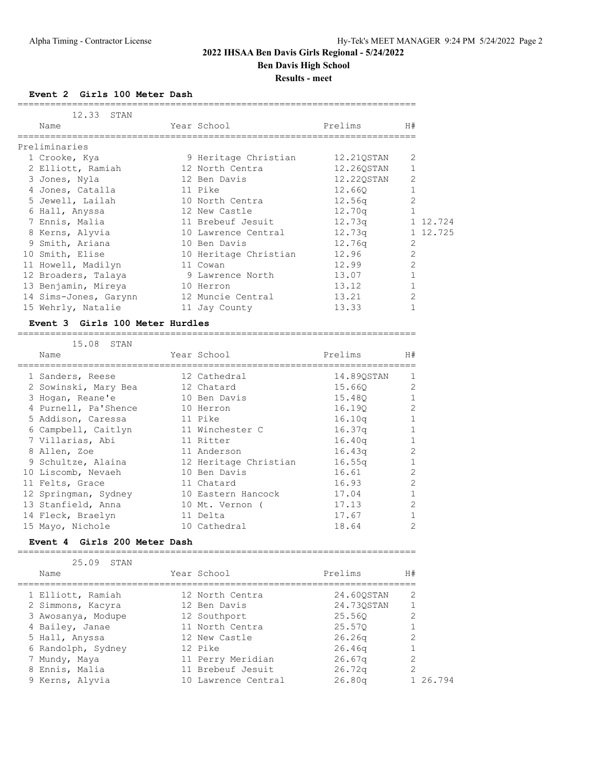**Ben Davis High School**

**Results - meet**

**Event 2 Girls 100 Meter Dash**

| 12.33 STAN<br>Name    | Year School           | Prelims    | H#             |          |
|-----------------------|-----------------------|------------|----------------|----------|
|                       |                       |            |                |          |
| Preliminaries         |                       |            |                |          |
| 1 Crooke, Kya         | 9 Heritage Christian  | 12.210STAN | 2              |          |
| 2 Elliott, Ramiah     | 12 North Centra       | 12.260STAN |                |          |
| 3 Jones, Nyla         | 12 Ben Davis          | 12.220STAN | $\overline{2}$ |          |
| 4 Jones, Catalla      | 11 Pike               | 12.660     |                |          |
| 5 Jewell, Lailah      | 10 North Centra       | 12.56q     |                |          |
| 6 Hall, Anyssa        | 12 New Castle         | 12.70q     |                |          |
| 7 Ennis, Malia        | 11 Brebeuf Jesuit     | 12.73q     |                | 1 12.724 |
| 8 Kerns, Alyvia       | 10 Lawrence Central   | 12.73q     |                | 1 12.725 |
| 9 Smith, Ariana       | 10 Ben Davis          | 12.76q     | 2              |          |
| 10 Smith, Elise       | 10 Heritage Christian | 12.96      | $\overline{2}$ |          |
| 11 Howell, Madilyn    | 11 Cowan              | 12.99      | $\overline{2}$ |          |
| 12 Broaders, Talaya   | 9 Lawrence North      | 13.07      |                |          |
| 13 Benjamin, Mireya   | 10 Herron             | 13.12      |                |          |
| 14 Sims-Jones, Garynn | 12 Muncie Central     | 13.21      | $\overline{2}$ |          |
| 15 Wehrly, Natalie    | 11 Jay County         | 13.33      |                |          |

#### **Event 3 Girls 100 Meter Hurdles**

=========================================================================

| 15.08 STAN           |                       |                    |                |
|----------------------|-----------------------|--------------------|----------------|
| Name                 | Year School           | Prelims            | H#             |
| 1 Sanders, Reese     | 12 Cathedral          | 14.890STAN         | $\mathbf{1}$   |
| 2 Sowinski, Mary Bea | 12 Chatard            | 15.660             | $\overline{2}$ |
| 3 Hogan, Reane'e     | 10 Ben Davis          | 15.480             |                |
| 4 Purnell, Pa'Shence | 10 Herron             | 16.190             | $\mathcal{L}$  |
| 5 Addison, Caressa   | 11 Pike               | 16.10 <sub>q</sub> |                |
| 6 Campbell, Caitlyn  | 11 Winchester C       | 16.37q             |                |
| 7 Villarias, Abi     | 11 Ritter             | 16.40q             | $\mathbf{1}$   |
| 8 Allen, Zoe         | 11 Anderson           | 16.43 <sub>q</sub> | $\overline{2}$ |
| 9 Schultze, Alaina   | 12 Heritage Christian | 16.55q             | 1              |
| 10 Liscomb, Nevaeh   | 10 Ben Davis          | 16.61              | $\overline{2}$ |
| 11 Felts, Grace      | 11 Chatard            | 16.93              | $\overline{2}$ |
| 12 Springman, Sydney | 10 Eastern Hancock    | 17.04              | 1              |
| 13 Stanfield, Anna   | 10 Mt. Vernon (       | 17.13              | $\mathcal{L}$  |
| 14 Fleck, Braelyn    | 11 Delta              | 17.67              |                |
| 15 Mayo, Nichole     | 10 Cathedral          | 18.64              | 2              |

=========================================================================

#### **Event 4 Girls 200 Meter Dash**

| 25.09<br>STAN      |                     |            |          |
|--------------------|---------------------|------------|----------|
| Name               | Year School         | Prelims    | H#       |
| 1 Elliott, Ramiah  | 12 North Centra     | 24.600STAN | 2        |
| 2 Simmons, Kacyra  | 12 Ben Davis        | 24.730STAN |          |
| 3 Awosanya, Modupe | 12 Southport        | 25.560     | 2        |
| 4 Bailey, Janae    | 11 North Centra     | 25.570     |          |
| 5 Hall, Anyssa     | 12 New Castle       | 26.26q     | 2        |
| 6 Randolph, Sydney | 12 Pike             | 26.46q     |          |
| 7 Mundy, Maya      | 11 Perry Meridian   | 26.67q     | 2        |
| 8 Ennis, Malia     | 11 Brebeuf Jesuit   | 26.72q     | 2        |
| 9 Kerns, Alyvia    | 10 Lawrence Central | 26.80q     | 1 26.794 |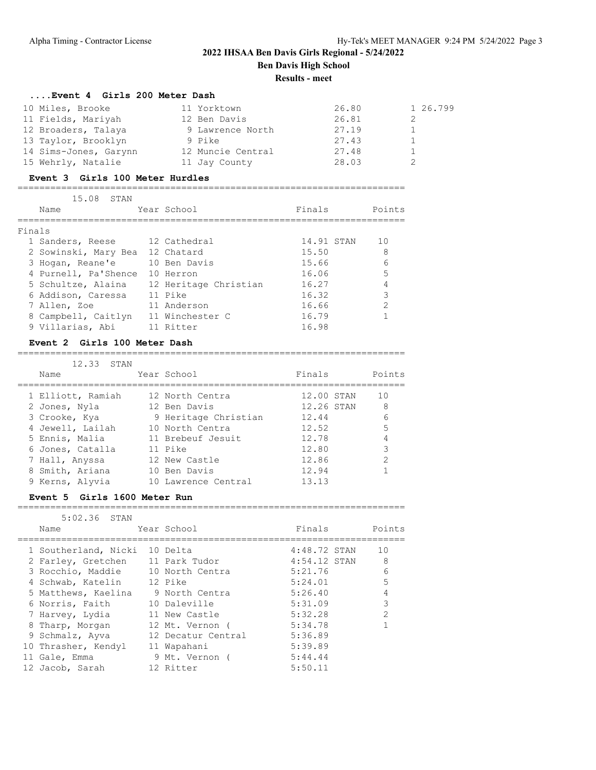## **2022 IHSAA Ben Davis Girls Regional - 5/24/2022 Ben Davis High School**

**Results - meet**

#### **....Event 4 Girls 200 Meter Dash**

| 10 Miles, Brooke      | 11 Yorktown       | 26.80 | 1 26.799 |
|-----------------------|-------------------|-------|----------|
| 11 Fields, Mariyah    | 12 Ben Davis      | 26.81 |          |
| 12 Broaders, Talaya   | 9 Lawrence North  | 27.19 |          |
| 13 Taylor, Brooklyn   | 9 Pike            | 27.43 |          |
| 14 Sims-Jones, Garynn | 12 Muncie Central | 27.48 |          |
| 15 Wehrly, Natalie    | 11 Jay County     | 28.03 |          |

#### **Event 3 Girls 100 Meter Hurdles**

=======================================================================

| 15.08<br>STAN                   |                       |            |               |
|---------------------------------|-----------------------|------------|---------------|
| Name                            | Year School           | Finals     | Points        |
|                                 |                       |            |               |
| Finals                          |                       |            |               |
| 1 Sanders, Reese                | 12 Cathedral          | 14.91 STAN | 10            |
| 2 Sowinski, Mary Bea 12 Chatard |                       | 15.50      | 8             |
| 3 Hogan, Reane'e                | 10 Ben Davis          | 15.66      | 6             |
| 4 Purnell, Pa'Shence            | 10 Herron             | 16.06      |               |
| 5 Schultze, Alaina              | 12 Heritage Christian | 16.27      |               |
| 6 Addison, Caressa              | 11 Pike               | 16.32      | 3             |
| 7 Allen, Zoe                    | 11 Anderson           | 16.66      | $\mathcal{P}$ |
| 8 Campbell, Caitlyn             | 11 Winchester C       | 16.79      |               |
| 9 Villarias, Abi                | 11 Ritter             | 16.98      |               |

#### **Event 2 Girls 100 Meter Dash**

| 12,33 STAN        |             |                      |            |               |
|-------------------|-------------|----------------------|------------|---------------|
| Name              | Year School |                      | Finals     | Points        |
| 1 Elliott, Ramiah |             | 12 North Centra      | 12.00 STAN | 10            |
| 2 Jones, Nyla     |             | 12 Ben Davis         | 12.26 STAN | 8             |
| 3 Crooke, Kya     |             | 9 Heritage Christian | 12.44      | 6             |
| 4 Jewell, Lailah  |             | 10 North Centra      | 12.52      | 5             |
| 5 Ennis, Malia    |             | 11 Brebeuf Jesuit    | 12.78      | 4             |
| 6 Jones, Catalla  | 11 Pike     |                      | 12.80      | 3             |
| 7 Hall, Anyssa    |             | 12 New Castle        | 12.86      | $\mathcal{D}$ |
| 8 Smith, Ariana   |             | 10 Ben Davis         | 12.94      |               |
| 9 Kerns, Alyvia   |             | 10 Lawrence Central  | 13.13      |               |

=======================================================================

#### **Event 5 Girls 1600 Meter Run**

#### =======================================================================

| $5:02.36$ STAN                     |                |              |               |
|------------------------------------|----------------|--------------|---------------|
| Name                               | Year School    | Finals       | Points        |
|                                    |                |              |               |
| 1 Southerland, Nicki 10 Delta      |                | 4:48.72 STAN | 10            |
| 2 Farley, Gretchen 11 Park Tudor   |                | 4:54.12 STAN | 8             |
| 3 Rocchio, Maddie 10 North Centra  |                | 5:21.76      | 6             |
| 4 Schwab, Katelin 12 Pike          |                | 5:24.01      | 5             |
| 5 Matthews, Kaelina 9 North Centra |                | 5:26.40      |               |
| 6 Norris, Faith                    | 10 Daleville   | 5:31.09      | 3             |
| 7 Harvey, Lydia 11 New Castle      |                | 5:32.28      | $\mathcal{P}$ |
| 8 Tharp, Morgan 12 Mt. Vernon (    |                | 5:34.78      |               |
| 9 Schmalz, Ayva 12 Decatur Central |                | 5:36.89      |               |
| 10 Thrasher, Kendyl                | 11 Wapahani    | 5:39.89      |               |
| 11 Gale, Emma                      | 9 Mt. Vernon ( | 5:44.44      |               |
| 12 Jacob, Sarah                    | 12 Ritter      | 5:50.11      |               |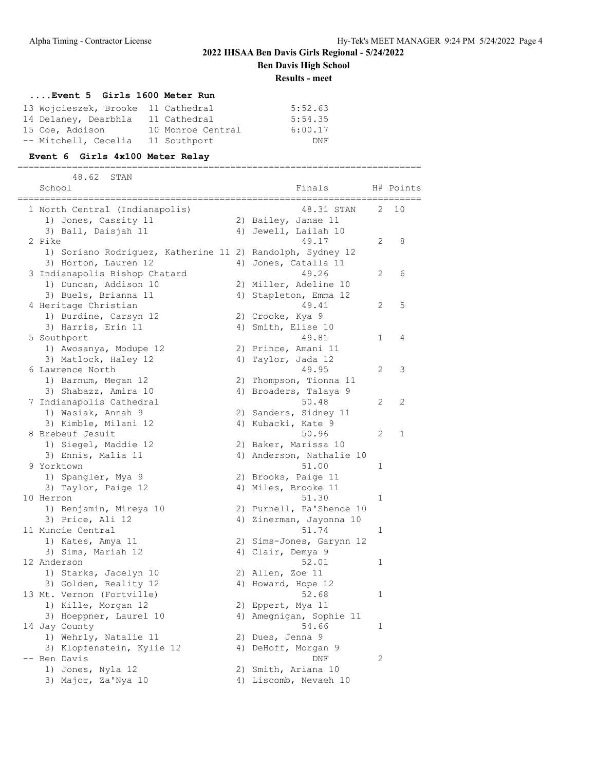**Ben Davis High School**

**Results - meet**

### **....Event 5 Girls 1600 Meter Run**

| 13 Wojcieszek, Brooke 11 Cathedral |                   | 5:52.63 |
|------------------------------------|-------------------|---------|
| 14 Delaney, Dearbhla               | 11 Cathedral      | 5:54.35 |
| 15 Coe, Addison                    | 10 Monroe Central | 6:00.17 |
| -- Mitchell, Cecelia               | 11 Southport      | DNF     |

### **Event 6 Girls 4x100 Meter Relay**

==========================================================================

| 48.62<br>STAN                                             |    |                          |                |           |
|-----------------------------------------------------------|----|--------------------------|----------------|-----------|
| School                                                    |    | Finals                   |                | H# Points |
| 1 North Central (Indianapolis)                            |    | 48.31 STAN               | 2.             | 10        |
| 1) Jones, Cassity 11                                      |    | 2) Bailey, Janae 11      |                |           |
| 3) Ball, Daisjah 11                                       |    | 4) Jewell, Lailah 10     |                |           |
| 2 Pike                                                    |    | 49.17                    | $\overline{2}$ | 8         |
| 1) Soriano Rodriguez, Katherine 11 2) Randolph, Sydney 12 |    |                          |                |           |
| 3) Horton, Lauren 12                                      |    | 4) Jones, Catalla 11     |                |           |
| 3 Indianapolis Bishop Chatard                             |    | 49.26                    | 2              | 6         |
| 1) Duncan, Addison 10                                     |    | 2) Miller, Adeline 10    |                |           |
| 3) Buels, Brianna 11                                      | 4) | Stapleton, Emma 12       |                |           |
| 4 Heritage Christian                                      |    | 49.41                    | 2              | 5         |
| 1) Burdine, Carsyn 12                                     |    | 2) Crooke, Kya 9         |                |           |
| 3) Harris, Erin 11                                        |    | 4) Smith, Elise 10       |                |           |
| 5 Southport                                               |    | 49.81                    | 1              | 4         |
| 1) Awosanya, Modupe 12                                    |    | 2) Prince, Amani 11      |                |           |
| 3) Matlock, Haley 12                                      |    | 4) Taylor, Jada 12       |                |           |
| 6 Lawrence North                                          |    | 49.95                    | $\overline{2}$ | 3         |
| 1) Barnum, Megan 12                                       |    | 2) Thompson, Tionna 11   |                |           |
| 3) Shabazz, Amira 10                                      |    | 4) Broaders, Talaya 9    |                |           |
| 7 Indianapolis Cathedral                                  |    | 50.48                    | 2              | 2         |
| 1) Wasiak, Annah 9                                        |    | 2) Sanders, Sidney 11    |                |           |
| 3) Kimble, Milani 12                                      |    | 4) Kubacki, Kate 9       |                |           |
| 8 Brebeuf Jesuit                                          |    | 50.96                    | 2              | 1         |
| 1) Siegel, Maddie 12                                      |    | 2) Baker, Marissa 10     |                |           |
| 3) Ennis, Malia 11                                        |    | 4) Anderson, Nathalie 10 |                |           |
| 9 Yorktown                                                |    | 51.00                    | 1              |           |
| 1) Spangler, Mya 9                                        |    | 2) Brooks, Paige 11      |                |           |
| 3) Taylor, Paige 12                                       |    | 4) Miles, Brooke 11      |                |           |
| 10 Herron                                                 |    | 51.30                    | 1              |           |
| 1) Benjamin, Mireya 10                                    |    | 2) Purnell, Pa'Shence 10 |                |           |
| 3) Price, Ali 12                                          |    | 4) Zinerman, Jayonna 10  |                |           |
| 11 Muncie Central                                         |    | 51.74                    | 1              |           |
| 1) Kates, Amya 11                                         |    | 2) Sims-Jones, Garynn 12 |                |           |
| 3) Sims, Mariah 12                                        |    | 4) Clair, Demya 9        |                |           |
| 12 Anderson                                               |    | 52.01                    | 1              |           |
| 1) Starks, Jacelyn 10                                     |    | 2) Allen, Zoe 11         |                |           |
| 3) Golden, Reality 12                                     |    | 4) Howard, Hope 12       |                |           |
| 13 Mt. Vernon (Fortville)                                 |    | 52.68                    | 1              |           |
| 1) Kille, Morgan 12                                       |    | 2) Eppert, Mya 11        |                |           |
| 3) Hoeppner, Laurel 10                                    |    | 4) Amegnigan, Sophie 11  |                |           |
| 14 Jay County                                             |    | 54.66                    | 1              |           |
| 1) Wehrly, Natalie 11                                     |    | 2) Dues, Jenna 9         |                |           |
| 3) Klopfenstein, Kylie 12                                 |    | 4) DeHoff, Morgan 9      |                |           |
| -- Ben Davis                                              |    | DNF                      | 2              |           |
| 1) Jones, Nyla 12                                         |    | 2) Smith, Ariana 10      |                |           |
| 3) Major, Za'Nya 10                                       |    | 4) Liscomb, Nevaeh 10    |                |           |
|                                                           |    |                          |                |           |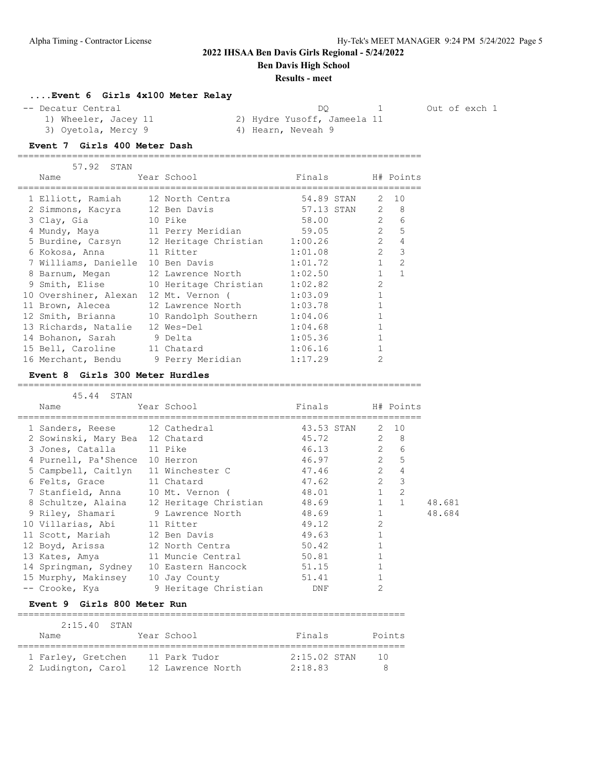**Ben Davis High School**

#### **Results - meet**

### **....Event 6 Girls 4x100 Meter Relay**

3) Oyetola, Mercy 9 4) Hearn, Neveah 9

-- Decatur Central and the control of exch 1 out of exch 1 out of exch 1

1) Wheeler, Jacey 11 2) Hydre Yusoff, Jameela 11

#### **Event 7 Girls 400 Meter Dash**

|  | 57.92 STAN                        |                                                 |            |                |                |
|--|-----------------------------------|-------------------------------------------------|------------|----------------|----------------|
|  | Name                              | Year School                                     | Finals     |                | H# Points      |
|  | 1 Elliott, Ramiah 12 North Centra |                                                 | 54.89 STAN |                | 2 10           |
|  | 2 Simmons, Kacyra                 | 12 Ben Davis                                    | 57.13 STAN | 2              | 8              |
|  | 3 Clay, Gia                       | 10 Pike                                         | 58.00      | $\overline{2}$ | 6              |
|  | 4 Mundy, Maya 11 Perry Meridian   |                                                 | 59.05      | $\overline{2}$ | 5              |
|  |                                   | 5 Burdine, Carsyn 12 Heritage Christian 1:00.26 |            | $\mathcal{L}$  | 4              |
|  | 6 Kokosa, Anna                    | 11 Ritter                                       | 1:01.08    | $\overline{2}$ | 3              |
|  | 7 Williams, Danielle 10 Ben Davis |                                                 | 1:01.72    | $\mathbf{1}$   | $\overline{2}$ |
|  | 8 Barnum, Megan                   | 12 Lawrence North                               | 1:02.50    | $\mathbf{1}$   | $\mathbf{1}$   |
|  | 9 Smith, Elise                    | 10 Heritage Christian                           | 1:02.82    | $\mathfrak{D}$ |                |
|  | 10 Overshiner, Alexan             | 12 Mt. Vernon (                                 | 1:03.09    |                |                |
|  | 11 Brown, Alecea                  | 12 Lawrence North                               | 1:03.78    |                |                |
|  | 12 Smith, Brianna                 | 10 Randolph Southern                            | 1:04.06    |                |                |
|  | 13 Richards, Natalie              | 12 Wes-Del                                      | 1:04.68    |                |                |
|  | 14 Bohanon, Sarah                 | 9 Delta                                         | 1:05.36    |                |                |
|  | 15 Bell, Caroline                 | 11 Chatard                                      | 1:06.16    |                |                |
|  | 16 Merchant, Bendu                | 9 Perry Meridian                                | 1:17.29    | $\mathfrak{D}$ |                |
|  |                                   |                                                 |            |                |                |

==========================================================================

#### **Event 8 Girls 300 Meter Hurdles**

| 45.44 STAN                               |                      |                           |                |                  |        |
|------------------------------------------|----------------------|---------------------------|----------------|------------------|--------|
| Name                                     | Year School          | Finals                    |                | H# Points        |        |
| 1 Sanders, Reese 12 Cathedral            |                      | 43.53 STAN 2 10           |                |                  |        |
| 2 Sowinski, Mary Bea 12 Chatard          |                      | $\overline{2}$ 8<br>45.72 |                |                  |        |
| 3 Jones, Catalla 11 Pike                 |                      | 46.13 2                   |                | 6                |        |
| 4 Purnell, Pa'Shence 10 Herron           |                      | 46.97                     |                | $2^{\circ}$<br>5 |        |
| 5 Campbell, Caitlyn 11 Winchester C      |                      | 47.46                     | $\overline{2}$ | $\overline{4}$   |        |
| 6 Felts, Grace 11 Chatard                |                      | 47.62                     |                | $2 \quad 3$      |        |
| 7 Stanfield, Anna 10 Mt. Vernon (        |                      | 48.01                     | 1              | $\mathcal{L}$    |        |
| 8 Schultze, Alaina 12 Heritage Christian |                      | 48.69                     | $\mathbf{1}$   | $\overline{1}$   | 48.681 |
| 9 Riley, Shamari 9 Lawrence North        |                      | 48.69                     |                |                  | 48.684 |
| 10 Villarias, Abi 11 Ritter              |                      | 49.12                     | $\overline{2}$ |                  |        |
| 11 Scott, Mariah                         | 12 Ben Davis         | 49.63                     |                |                  |        |
| 12 Boyd, Arissa                          | 12 North Centra      | 50.42                     |                |                  |        |
| 13 Kates, Amya                           | 11 Muncie Central    | 50.81                     |                |                  |        |
| 14 Springman, Sydney                     | 10 Eastern Hancock   | 51.15                     |                |                  |        |
| 15 Murphy, Makinsey 10 Jay County        |                      | 51.41                     |                |                  |        |
| -- Crooke, Kya                           | 9 Heritage Christian | DNF                       | 2              |                  |        |
|                                          |                      |                           |                |                  |        |

### **Event 9 Girls 800 Meter Run**

| $2:15.40$ STAN                           |                                    |                           |        |
|------------------------------------------|------------------------------------|---------------------------|--------|
| Name                                     | Year School                        | Finals                    | Points |
| 1 Farley, Gretchen<br>2 Ludington, Carol | 11 Park Tudor<br>12 Lawrence North | $2:15.02$ STAN<br>2:18.83 | 1 N    |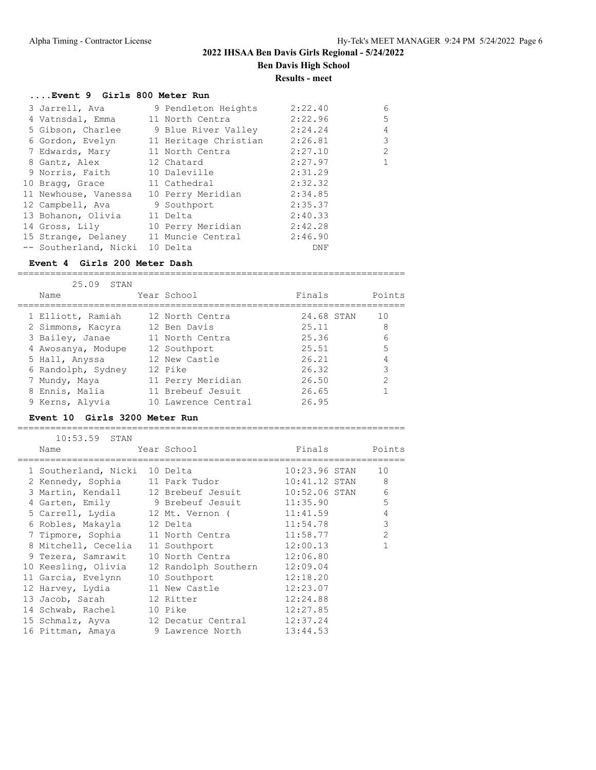## **2022 IHSAA Ben Davis Girls Regional - 5/24/2022 Ben Davis High School**

**Results - meet**

#### **....Event 9 Girls 800 Meter Run**

| 3 Jarrell, Ava        | 9 Pendleton Heights   | 2:22.40 | 6              |
|-----------------------|-----------------------|---------|----------------|
| 4 Vatnsdal, Emma      | 11 North Centra       | 2:22.96 | 5              |
| 5 Gibson, Charlee     | 9 Blue River Valley   | 2:24.24 | $\overline{4}$ |
| 6 Gordon, Evelyn      | 11 Heritage Christian | 2:26.81 | 3              |
| 7 Edwards, Mary       | 11 North Centra       | 2:27.10 | $\overline{2}$ |
| 8 Gantz, Alex         | 12 Chatard            | 2:27.97 | $\mathbf{1}$   |
| 9 Norris, Faith       | 10 Daleville          | 2:31.29 |                |
| 10 Bragg, Grace       | 11 Cathedral          | 2:32.32 |                |
| 11 Newhouse, Vanessa  | 10 Perry Meridian     | 2:34.85 |                |
| 12 Campbell, Ava      | 9 Southport           | 2:35.37 |                |
| 13 Bohanon, Olivia    | 11 Delta              | 2:40.33 |                |
| 14 Gross, Lily        | 10 Perry Meridian     | 2:42.28 |                |
| 15 Strange, Delaney   | 11 Muncie Central     | 2:46.90 |                |
| -- Southerland, Nicki | 10 Delta              | DNF     |                |

#### **Event 4 Girls 200 Meter Dash**

| 25.09 STAN         |                     |            |        |
|--------------------|---------------------|------------|--------|
| Name               | Year School         | Finals     | Points |
| 1 Elliott, Ramiah  | 12 North Centra     | 24.68 STAN | 10     |
| 2 Simmons, Kacyra  | 12 Ben Davis        | 25.11      | 8      |
| 3 Bailey, Janae    | 11 North Centra     | 25.36      | 6      |
| 4 Awosanya, Modupe | 12 Southport        | 25.51      | 5      |
| 5 Hall, Anyssa     | 12 New Castle       | 26.21      | 4      |
| 6 Randolph, Sydney | 12 Pike             | 26.32      | 3      |
| 7 Mundy, Maya      | 11 Perry Meridian   | 26.50      | 2      |
| 8 Ennis, Malia     | 11 Brebeuf Jesuit   | 26.65      |        |
| 9 Kerns, Alyvia    | 10 Lawrence Central | 26.95      |        |

=======================================================================

#### **Event 10 Girls 3200 Meter Run**

=======================================================================

| $10:53.59$ STAN                     |                      |                 |                |
|-------------------------------------|----------------------|-----------------|----------------|
| Name                                | Year School          | Finals          | Points         |
| 1 Southerland, Nicki 10 Delta       |                      | $10:23.96$ STAN | 10             |
| 2 Kennedy, Sophia 11 Park Tudor     |                      | 10:41.12 STAN   | 8              |
| 3 Martin, Kendall 12 Brebeuf Jesuit |                      | 10:52.06 STAN   | 6              |
| 4 Garten, Emily 9 Brebeuf Jesuit    |                      | 11:35.90        | 5              |
| 5 Carrell, Lydia 12 Mt. Vernon (    |                      | 11:41.59        | 4              |
| 6 Robles, Makayla 12 Delta          |                      | 11:54.78        | 3              |
| 7 Tipmore, Sophia 11 North Centra   |                      | 11:58.77        | $\overline{2}$ |
| 8 Mitchell, Cecelia                 | 11 Southport         | 12:00.13        |                |
| 9 Tezera, Samrawit                  | 10 North Centra      | 12:06.80        |                |
| 10 Keesling, Olivia                 | 12 Randolph Southern | 12:09.04        |                |
| 11 Garcia, Evelynn                  | 10 Southport         | 12:18.20        |                |
| 12 Harvey, Lydia                    | 11 New Castle        | 12:23.07        |                |
| 13 Jacob, Sarah 12 Ritter           |                      | 12:24.88        |                |
| 14 Schwab, Rachel                   | 10 Pike              | 12:27.85        |                |
| 15 Schmalz, Ayva                    | 12 Decatur Central   | 12:37.24        |                |
| 16 Pittman, Amaya                   | 9 Lawrence North     | 13:44.53        |                |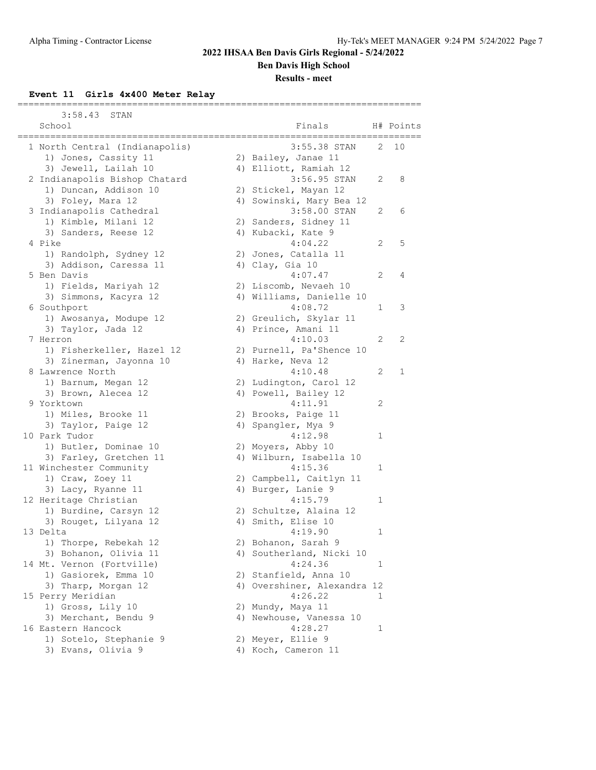**Ben Davis High School**

### **Results - meet**

#### **Event 11 Girls 4x400 Meter Relay**

| 3:58.43<br>STAN                |                             |   |           |
|--------------------------------|-----------------------------|---|-----------|
| School                         | Finals                      |   | H# Points |
| 1 North Central (Indianapolis) | 3:55.38 STAN                | 2 | 10        |
| 1) Jones, Cassity 11           | 2) Bailey, Janae 11         |   |           |
| 3) Jewell, Lailah 10           | 4) Elliott, Ramiah 12       |   |           |
| 2 Indianapolis Bishop Chatard  | 3:56.95 STAN                | 2 | 8         |
| 1) Duncan, Addison 10          | 2) Stickel, Mayan 12        |   |           |
| 3) Foley, Mara 12              | 4) Sowinski, Mary Bea 12    |   |           |
| 3 Indianapolis Cathedral       | 3:58.00 STAN                | 2 | 6         |
| 1) Kimble, Milani 12           | 2) Sanders, Sidney 11       |   |           |
| 3) Sanders, Reese 12           | 4) Kubacki, Kate 9          |   |           |
| 4 Pike                         | 4:04.22                     | 2 | 5         |
| 1) Randolph, Sydney 12         | 2) Jones, Catalla 11        |   |           |
| 3) Addison, Caressa 11         | 4) Clay, Gia 10             |   |           |
| 5 Ben Davis                    | 4:07.47                     | 2 | 4         |
| 1) Fields, Mariyah 12          | 2) Liscomb, Nevaeh 10       |   |           |
| 3) Simmons, Kacyra 12          | 4) Williams, Danielle 10    |   |           |
| 6 Southport                    | 4:08.72                     | 1 | 3         |
| 1) Awosanya, Modupe 12         | 2) Greulich, Skylar 11      |   |           |
| 3) Taylor, Jada 12             | 4) Prince, Amani 11         |   |           |
| 7 Herron                       | 4:10.03                     | 2 | 2         |
| 1) Fisherkeller, Hazel 12      | 2) Purnell, Pa'Shence 10    |   |           |
| 3) Zinerman, Jayonna 10        | 4) Harke, Neva 12           |   |           |
| 8 Lawrence North               | 4:10.48                     | 2 | 1         |
| 1) Barnum, Megan 12            | 2) Ludington, Carol 12      |   |           |
| 3) Brown, Alecea 12            | 4) Powell, Bailey 12        |   |           |
| 9 Yorktown                     | 4:11.91                     | 2 |           |
| 1) Miles, Brooke 11            | 2) Brooks, Paige 11         |   |           |
| 3) Taylor, Paige 12            | 4) Spangler, Mya 9          |   |           |
| 10 Park Tudor                  | 4:12.98                     | 1 |           |
| 1) Butler, Dominae 10          | 2) Moyers, Abby 10          |   |           |
| 3) Farley, Gretchen 11         | 4) Wilburn, Isabella 10     |   |           |
| 11 Winchester Community        | 4:15.36                     | 1 |           |
| 1) Craw, Zoey 11               | 2) Campbell, Caitlyn 11     |   |           |
| 3) Lacy, Ryanne 11             | 4) Burger, Lanie 9          |   |           |
| 12 Heritage Christian          | 4:15.79                     | 1 |           |
| 1) Burdine, Carsyn 12          | 2) Schultze, Alaina 12      |   |           |
| 3) Rouget, Lilyana 12          | 4) Smith, Elise 10          |   |           |
| 13 Delta                       | 4:19.90                     | 1 |           |
| 1) Thorpe, Rebekah 12          | 2) Bohanon, Sarah 9         |   |           |
| 3) Bohanon, Olivia 11          | 4) Southerland, Nicki 10    |   |           |
| 14 Mt. Vernon (Fortville)      | 4:24.36                     | 1 |           |
| 1) Gasiorek, Emma 10           | 2) Stanfield, Anna 10       |   |           |
| 3) Tharp, Morgan 12            | 4) Overshiner, Alexandra 12 |   |           |
| 15 Perry Meridian              | 4:26.22                     | 1 |           |
| 1) Gross, Lily 10              | 2) Mundy, Maya 11           |   |           |
| 3) Merchant, Bendu 9           | 4) Newhouse, Vanessa 10     |   |           |
| 16 Eastern Hancock             | 4:28.27                     | 1 |           |
| 1) Sotelo, Stephanie 9         | 2) Meyer, Ellie 9           |   |           |
|                                |                             |   |           |
| 3) Evans, Olivia 9             | 4) Koch, Cameron 11         |   |           |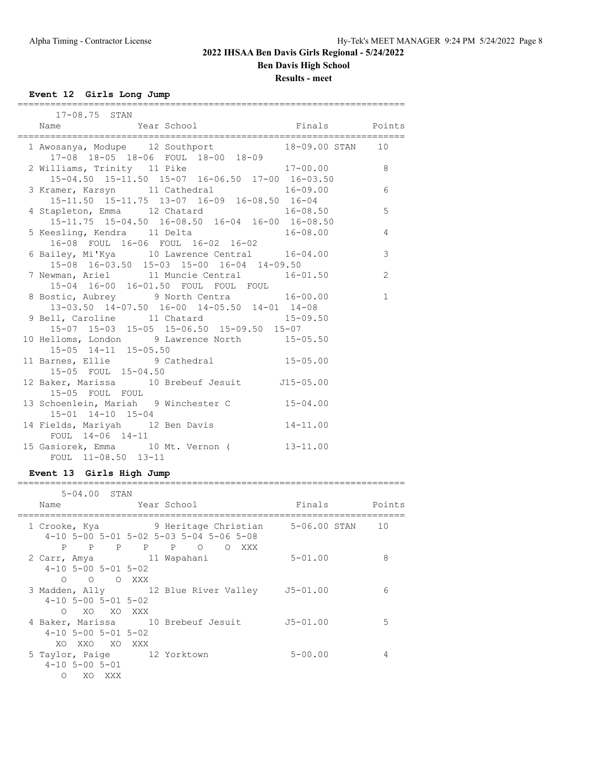**Ben Davis High School**

**Results - meet**

**Event 12 Girls Long Jump**

| 17-08.75 STAN                                                                                                                                                                                                                             |              |
|-------------------------------------------------------------------------------------------------------------------------------------------------------------------------------------------------------------------------------------------|--------------|
| reserved by the set of the set of the set of the set of the set of the set of the set of the set of the set of<br>Set of the set of the set of the set of the set of the set of the set of the set of the set of the set of the s<br>Name |              |
| 1 Awosanya, Modupe 12 Southport 18-09.00 STAN 10<br>17-08 18-05 18-06 FOUL 18-00 18-09                                                                                                                                                    |              |
| 2 Williams, Trinity 11 Pike 17-00.00 8<br>15-04.50 15-11.50 15-07 16-06.50 17-00 16-03.50                                                                                                                                                 |              |
| 3 Kramer, Karsyn 11 Cathedral 16-09.00 6<br>15-11.50 15-11.75 13-07 16-09 16-08.50 16-04                                                                                                                                                  |              |
| 4 Stapleton, Emma 12 Chatard 16-08.50<br>15-11.75 15-04.50 16-08.50 16-04 16-00 16-08.50                                                                                                                                                  | 5            |
| 5 Keesling, Kendra 11 Delta 16-08.00 4<br>16-08 FOUL 16-06 FOUL 16-02 16-02                                                                                                                                                               |              |
| 6 Bailey, Mi'Kya 10 Lawrence Central 16-04.00<br>$15-08$ $16-03.50$ $15-03$ $15-00$ $16-04$ $14-09.50$                                                                                                                                    | 3            |
| 7 Newman, Ariel 11 Muncie Central 16-01.50<br>15-04 16-00 16-01.50 FOUL FOUL FOUL                                                                                                                                                         | 2            |
| 8 Bostic, Aubrey 9 North Centra 16-00.00<br>13-03.50 14-07.50 16-00 14-05.50 14-01 14-08                                                                                                                                                  | $\mathbf{1}$ |
| 9 Bell, Caroline 11 Chatard 15-09.50<br>15-07 15-03 15-05 15-06.50 15-09.50 15-07                                                                                                                                                         |              |
| 10 Helloms, London 9 Lawrence North 15-05.50<br>15-05 14-11 15-05.50                                                                                                                                                                      |              |
| 11 Barnes, Ellie 9 Cathedral 15-05.00<br>15-05 FOUL 15-04.50                                                                                                                                                                              |              |
| 12 Baker, Marissa 10 Brebeuf Jesuit J15-05.00<br>15-05 FOUL FOUL                                                                                                                                                                          |              |
| 13 Schoenlein, Mariah 9 Winchester C 15-04.00<br>15-01 14-10 15-04                                                                                                                                                                        |              |
| 14 Fields, Mariyah 12 Ben Davis 14-11.00<br>FOUL 14-06 14-11                                                                                                                                                                              |              |
| 15 Gasiorek, Emma 10 Mt. Vernon (13-11.00<br>FOUL 11-08.50 13-11                                                                                                                                                                          |              |

#### **Event 13 Girls High Jump**

| $5 - 04.00$ STAN                                                      |                                                                                                                             |               |   |
|-----------------------------------------------------------------------|-----------------------------------------------------------------------------------------------------------------------------|---------------|---|
| Name                                                                  | Year School                                                                                                                 | Finals Points |   |
|                                                                       | 1 Crooke, Kya (a) 9 Heritage Christian 5-06.00 STAN 10<br>$4-10$ 5-00 5-01 5-02 5-03 5-04 5-06 5-08<br>P P P P P O<br>O XXX |               |   |
| 2 Carr, Amya (11 Wapahani<br>$4-10$ 5-00 5-01 5-02<br>O O O XXX       |                                                                                                                             | $5 - 01.00$   | 8 |
| $4-10$ 5-00 5-01 5-02<br>xo xo xxx<br>$\cap$                          | 3 Madden, Ally 12 Blue River Valley 55-01.00                                                                                |               | 6 |
| $4-10$ 5-00 5-01 5-02<br>XO XXO XO XXX                                | 4 Baker, Marissa 10 Brebeuf Jesuit J5-01.00                                                                                 |               | 5 |
| 5 Taylor, Paige 12 Yorktown<br>$4 - 10$ 5 - 00 5 - 01<br>XO.<br>XXX X |                                                                                                                             | $5 - 00.00$   |   |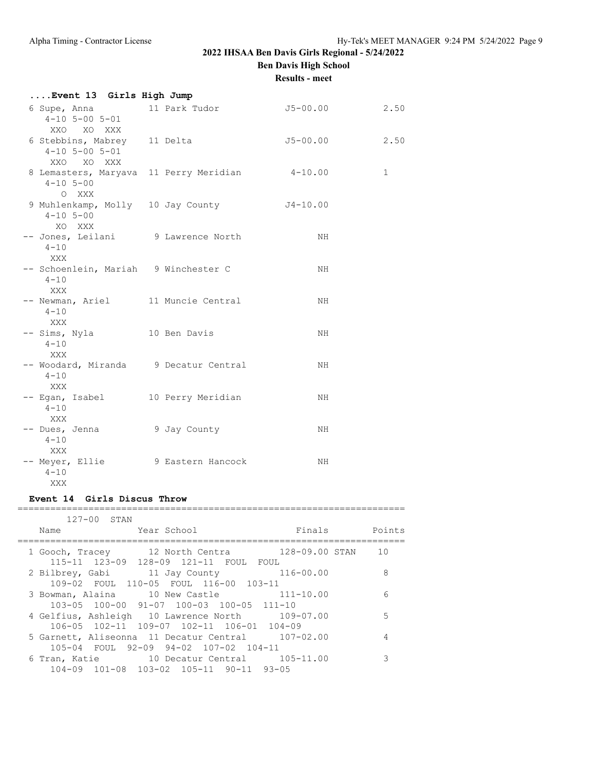## **2022 IHSAA Ben Davis Girls Regional - 5/24/2022 Ben Davis High School**

**Results - meet**

| Event 13 Girls High Jump                                            |                                                |          |             |
|---------------------------------------------------------------------|------------------------------------------------|----------|-------------|
| $4 - 10$ 5-00 5-01<br>XXO XO XXX                                    | 6 Supe, Anna 11 Park Tudor                     | J5-00.00 | 2.50        |
| 6 Stebbins, Mabrey 11 Delta<br>$4 - 10$ 5 - 00 5 - 01<br>XXO XO XXX |                                                | J5-00.00 | 2.50        |
| $4 - 10$ 5-00<br>O XXX                                              | 8 Lemasters, Maryava 11 Perry Meridian 4-10.00 |          | $\mathbf 1$ |
| $4 - 10$ 5-00<br>XO XXX                                             | 9 Muhlenkamp, Molly 10 Jay County 54-10.00     |          |             |
| -- Jones, Leilani 9 Lawrence North<br>$4 - 10$<br>XXX               |                                                | NH       |             |
| -- Schoenlein, Mariah 9 Winchester C<br>$4 - 10$<br>XXX             |                                                | NH       |             |
| -- Newman, Ariel 11 Muncie Central<br>$4 - 10$<br>XXX               |                                                | NH       |             |
| -- Sims, Nyla 10 Ben Davis<br>$4 - 10$<br>XXX                       |                                                | NH       |             |
| -- Woodard, Miranda 9 Decatur Central<br>$4 - 10$<br>XXX            |                                                | NH       |             |
| -- Egan, Isabel 10 Perry Meridian<br>$4 - 10$<br>XXX                |                                                | NH.      |             |
| -- Dues, Jenna<br>$4 - 10$<br><b>XXX</b>                            | 9 Jay County                                   | NH.      |             |
| -- Meyer, Ellie 9 Eastern Hancock<br>$4 - 10$<br>XXX                |                                                | NH       |             |

### **Event 14 Girls Discus Throw**

======================================================================= 127-00 STAN

| TZITUU DIAN |                                                                                                       |                   |        |
|-------------|-------------------------------------------------------------------------------------------------------|-------------------|--------|
| Name        | Year School                                                                                           | Finals            | Points |
|             | 1 Gooch, Tracey 12 North Centra                                                                       | 128-09.00 STAN 10 |        |
|             | 115-11 123-09 128-09 121-11 FOUL FOUL<br>2 Bilbrey, Gabi 11 Jay County 116-00.00                      |                   | 8      |
|             | 109-02 FOUL 110-05 FOUL 116-00 103-11<br>3 Bowman, Alaina 10 New Castle 111-10.00                     |                   | 6      |
|             | 103-05 100-00 91-07 100-03 100-05 111-10<br>4 Gelfius, Ashleigh 10 Lawrence North 109-07.00           |                   | .5     |
|             | 106-05 102-11 109-07 102-11 106-01 104-09<br>5 Garnett, Aliseonna 11 Decatur Central 107-02.00        |                   |        |
|             | 105-04 FOUL 92-09 94-02 107-02 104-11                                                                 |                   | 3      |
|             | 6 Tran, Katie $10$ Decatur Central $105-11.00$<br>$104-09$ $101-08$ $103-02$ $105-11$ $90-11$ $93-05$ |                   |        |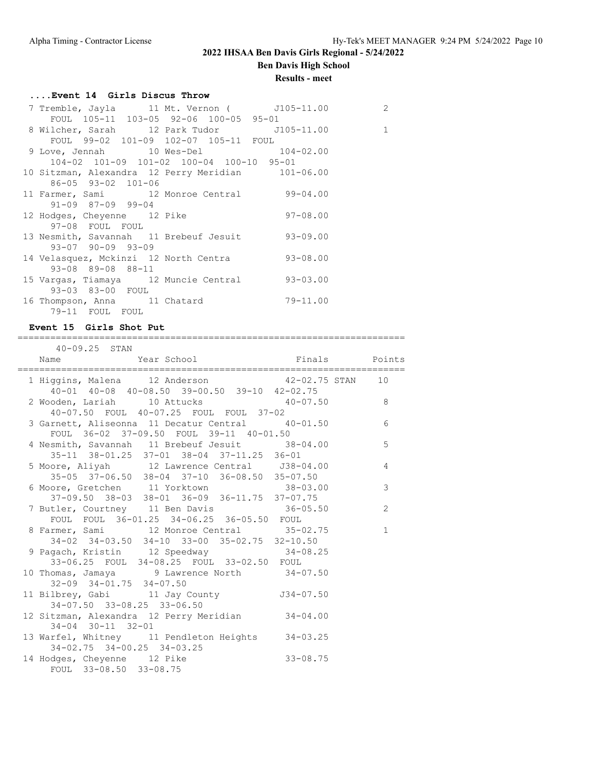# **Ben Davis High School**

## **Results - meet**

## **....Event 14 Girls Discus Throw**

| 7 Tremble, Jayla      11 Mt. Vernon (       J105-11.00 |              | 2 |
|--------------------------------------------------------|--------------|---|
| FOUL 105-11 103-05 92-06 100-05 95-01                  |              |   |
| 8 Wilcher, Sarah 12 Park Tudor 5105-11.00              |              | 1 |
| FOUL 99-02 101-09 102-07 105-11 FOUL                   |              |   |
| 9 Love, Jennah 10 Wes-Del 104-02.00                    |              |   |
| 104-02 101-09 101-02 100-04 100-10 95-01               |              |   |
| 10 Sitzman, Alexandra 12 Perry Meridian 101-06.00      |              |   |
| 86-05 93-02 101-06                                     |              |   |
| 11 Farmer, Sami 12 Monroe Central 99-04.00             |              |   |
| $91-09$ $87-09$ $99-04$                                |              |   |
| 12 Hodges, Cheyenne 12 Pike                            | $97-08.00$   |   |
| 97-08 FOUL FOUL                                        |              |   |
| 13 Nesmith, Savannah 11 Brebeuf Jesuit 93-09.00        |              |   |
| $93 - 07$ $90 - 09$ $93 - 09$                          |              |   |
| 14 Velasquez, Mckinzi 12 North Centra 93-08.00         |              |   |
| 93-08 89-08 88-11                                      |              |   |
| 15 Vargas, Tiamaya 12 Muncie Central 93-03.00          |              |   |
| 93-03 83-00 FOUL                                       |              |   |
| 16 Thompson, Anna 11 Chatard                           | $79 - 11.00$ |   |
| 79-11 FOUL FOUL                                        |              |   |

## **Event 15 Girls Shot Put**

| 40-09.25 STAN                                                                                                                               |               |
|---------------------------------------------------------------------------------------------------------------------------------------------|---------------|
|                                                                                                                                             |               |
| 1 Higgins, Malena 12 Anderson 12 42-02.75 STAN 10                                                                                           |               |
| 40-01 40-08 40-08.50 39-00.50 39-10 42-02.75<br>2 Wooden, Lariah 10 Attucks 40-07.50 8<br>40-07.50 FOUL 40-07.25 FOUL FOUL 37-02            |               |
| $40-07.50$ FOUL $40-07.25$ FOUL FOUL 37-02<br>3 Garnett, Aliseonna 11 Decatur Central $40-01.50$<br>FOUL 36-02 37-09.50 FOUL 39-11 40-01.50 | 6             |
| 4 Nesmith, Savannah 11 Brebeuf Jesuit 38-04.00<br>35-11 38-01.25 37-01 38-04 37-11.25 36-01                                                 | 5             |
| 5 Moore, Aliyah 12 Lawrence Central 538-04.00 4<br>35-05 37-06.50 38-04 37-10 36-08.50 35-07.50                                             |               |
| 6 Moore, Gretchen 11 Yorktown 38-03.00<br>37-09.50 38-03 38-01 36-09 36-11.75 37-07.75                                                      | $\mathcal{S}$ |
| 7 Butler, Courtney 11 Ben Davis 36-05.50                                                                                                    | 2             |
| FOUL FOUL 36-01.25 34-06.25 36-05.50 FOUL<br>8 Farmer, Sami 12 Monroe Central 35-02.75                                                      | $\mathbf{1}$  |
| 34-02 34-03.50 34-10 33-00 35-02.75 32-10.50<br>9 Pagach, Kristin 12 Speedway 34-08.25                                                      |               |
| 33-06.25 FOUL 34-08.25 FOUL 33-02.50 FOUL<br>10 Thomas, Jamaya 9 Lawrence North 34-07.50                                                    |               |
| $32-09$ $34-01.75$ $34-07.50$                                                                                                               |               |
| 34-07.50 33-08.25 33-06.50<br>12 Sitzman, Alexandra 12 Perry Meridian 34-04.00                                                              |               |
| $34 - 04$ $30 - 11$ $32 - 01$<br>13 Warfel, Whitney 11 Pendleton Heights 34-03.25                                                           |               |
| $34-02.75$ $34-00.25$ $34-03.25$<br>$33 - 08.75$<br>14 Hodges, Cheyenne 12 Pike<br>FOUL 33-08.50 33-08.75                                   |               |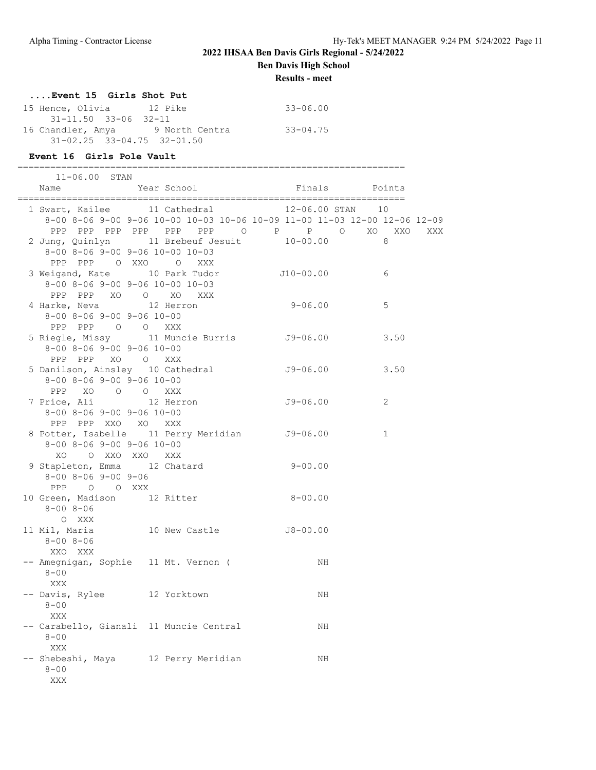**Ben Davis High School**

**Results - meet**

### **....Event 15 Girls Shot Put**

| 15 Hence, Olivia                       | 12 Pike        | $33 - 06.00$ |
|----------------------------------------|----------------|--------------|
| 31-11.50 33-06 32-11                   |                |              |
| 16 Chandler, Amya                      | 9 North Centra | $33 - 04.75$ |
| $31 - 02.25$ $33 - 04.75$ $32 - 01.50$ |                |              |

#### **Event 16 Girls Pole Vault**

| __<br>______             | ---------------------------------<br>__<br>_________<br>___ |
|--------------------------|-------------------------------------------------------------|
| $\overline{\phantom{0}}$ | A N                                                         |

| Name                                | Year School                                                               | Finals        | Points       |     |
|-------------------------------------|---------------------------------------------------------------------------|---------------|--------------|-----|
|                                     | 1 Swart, Kailee 11 Cathedral                                              | 12-06.00 STAN | 10           |     |
|                                     | 8-00 8-06 9-00 9-06 10-00 10-03 10-06 10-09 11-00 11-03 12-00 12-06 12-09 |               |              |     |
|                                     | PPP PPP PPP PPP PPP PPP O P P O XO XXO                                    |               |              | XXX |
|                                     | 2 Jung, Quinlyn 11 Brebeuf Jesuit 10-00.00                                |               | 8            |     |
|                                     | $8-00$ $8-06$ $9-00$ $9-06$ $10-00$ $10-03$                               |               |              |     |
|                                     | PPP PPP OXXO O<br>XXX                                                     |               |              |     |
|                                     | 3 Weigand, Kate 10 Park Tudor 510-00.00                                   |               | 6            |     |
|                                     | 8-00 8-06 9-00 9-06 10-00 10-03                                           |               |              |     |
|                                     | PPP PPP XO O XO XXX                                                       |               |              |     |
|                                     | 4 Harke, Neva 12 Herron                                                   | $9 - 06.00$   | 5            |     |
|                                     | $8 - 00$ $8 - 06$ $9 - 00$ $9 - 06$ $10 - 00$                             |               |              |     |
|                                     | PPP PPP 0 0 XXX                                                           |               |              |     |
|                                     | 5 Riegle, Missy 11 Muncie Burris 59-06.00                                 |               | 3.50         |     |
|                                     | $8 - 00$ $8 - 06$ $9 - 00$ $9 - 06$ $10 - 00$                             |               |              |     |
|                                     | PPP PPP XO O XXX                                                          |               |              |     |
|                                     | 5 Danilson, Ainsley 10 Cathedral                                          | $J9-06.00$    | 3.50         |     |
|                                     | $8-00$ $8-06$ $9-00$ $9-06$ $10-00$                                       |               |              |     |
|                                     | PPP XO O O XXX                                                            |               |              |     |
| 7 Price, Ali                        | 12 Herron                                                                 | $J9-06.00$    | 2            |     |
|                                     | $8 - 00$ $8 - 06$ $9 - 00$ $9 - 06$ $10 - 00$                             |               |              |     |
|                                     | PPP PPP XXO XO XXX                                                        |               |              |     |
|                                     | 8 Potter, Isabelle 11 Perry Meridian J9-06.00                             |               | $\mathbf{1}$ |     |
|                                     | $8 - 00$ $8 - 06$ $9 - 00$ $9 - 06$ $10 - 00$                             |               |              |     |
| XO.                                 | O XXO XXO XXX                                                             |               |              |     |
|                                     | 9 Stapleton, Emma 12 Chatard                                              | $9 - 00.00$   |              |     |
| $8 - 00$ $8 - 06$ $9 - 00$ $9 - 06$ |                                                                           |               |              |     |
| PPP 0 0 XXX                         |                                                                           |               |              |     |
|                                     | 10 Green, Madison 12 Ritter                                               | $8 - 00.00$   |              |     |
| $8 - 008 - 06$                      |                                                                           |               |              |     |
| O XXX                               |                                                                           |               |              |     |
| 11 Mil, Maria                       | 10 New Castle J8-00.00                                                    |               |              |     |
| 8-00 8-06                           |                                                                           |               |              |     |
| XXO XXX                             |                                                                           |               |              |     |
|                                     | -- Amegnigan, Sophie 11 Mt. Vernon (                                      | NH            |              |     |
| $8 - 00$                            |                                                                           |               |              |     |
| XXX                                 |                                                                           |               |              |     |
|                                     | -- Davis, Rylee 12 Yorktown                                               | NH            |              |     |
| $8 - 00$                            |                                                                           |               |              |     |
| XXX                                 |                                                                           |               |              |     |
|                                     | -- Carabello, Gianali  11 Muncie Central                                  | ΝH            |              |     |
| $8 - 00$                            |                                                                           |               |              |     |
| <b>XXX</b>                          |                                                                           |               |              |     |
| $8 - 00$                            | -- Shebeshi, Maya 12 Perry Meridian                                       | NH            |              |     |
|                                     |                                                                           |               |              |     |
| XXX                                 |                                                                           |               |              |     |